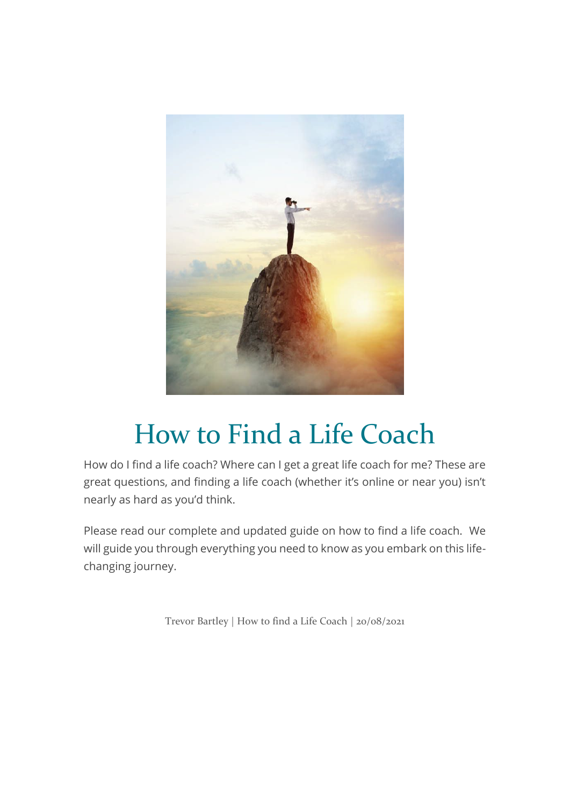

# How to Find a Life Coach

How do I find a life coach? Where can I get a great life coach for me? These are great questions, and finding a life coach (whether it's online or near you) isn't nearly as hard as you'd think.

Please read our complete and updated guide on how to find a life coach. We will guide you through everything you need to know as you embark on this lifechanging journey.

Trevor Bartley | How to find a Life Coach | 20/08/2021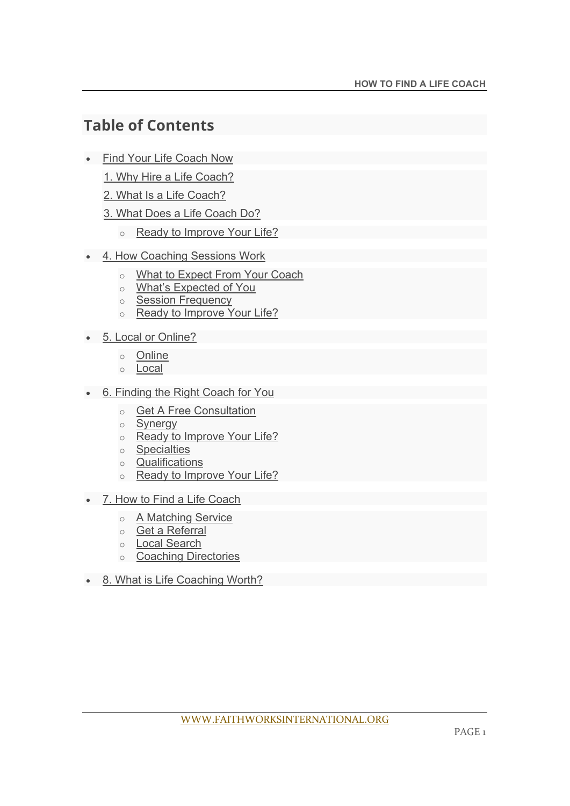# **Table of Contents**

- Find Your Life Coach Now
	- 1. Why Hire a Life Coach?
	- 2. What Is a Life Coach?
	- 3. What Does a Life Coach Do?
		- o Ready to Improve Your Life?
- 4. How Coaching Sessions Work
	- o What to Expect From Your Coach
	- o What's Expected of You
	- o Session Frequency
	- o Ready to Improve Your Life?
- 5. Local or Online?
	- o Online
	- o Local
- 6. Finding the Right Coach for You
	- o Get A Free Consultation
	- o Synergy
	- o Ready to Improve Your Life?
	- o Specialties
	- o Qualifications
	- o Ready to Improve Your Life?
- 7. How to Find a Life Coach
	- o A Matching Service
	- o Get a Referral
	- o Local Search
	- o Coaching Directories
- 8. What is Life Coaching Worth?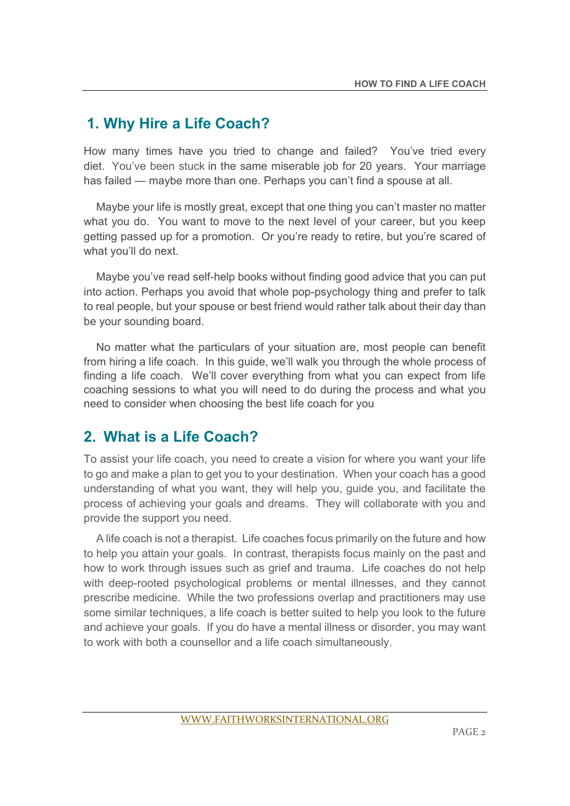## **1. Why Hire a Life Coach?**

How many times have you tried to change and failed? You've tried every diet. You've been stuck in the same miserable job for 20 years. Your marriage has failed — maybe more than one. Perhaps you can't find a spouse at all.

 Maybe your life is mostly great, except that one thing you can't master no matter what you do. You want to move to the next level of your career, but you keep getting passed up for a promotion. Or you're ready to retire, but you're scared of what you'll do next.

 Maybe you've read self-help books without finding good advice that you can put into action. Perhaps you avoid that whole pop-psychology thing and prefer to talk to real people, but your spouse or best friend would rather talk about their day than be your sounding board.

 No matter what the particulars of your situation are, most people can benefit from hiring a life coach. In this guide, we'll walk you through the whole process of finding a life coach. We'll cover everything from what you can expect from life coaching sessions to what you will need to do during the process and what you need to consider when choosing the best life coach for you

## **2. What is a Life Coach?**

To assist your life coach, you need to create a vision for where you want your life to go and make a plan to get you to your destination. When your coach has a good understanding of what you want, they will help you, guide you, and facilitate the process of achieving your goals and dreams. They will collaborate with you and provide the support you need.

 A life coach is not a therapist. Life coaches focus primarily on the future and how to help you attain your goals. In contrast, therapists focus mainly on the past and how to work through issues such as grief and trauma. Life coaches do not help with deep-rooted psychological problems or mental illnesses, and they cannot prescribe medicine. While the two professions overlap and practitioners may use some similar techniques, a life coach is better suited to help you look to the future and achieve your goals. If you do have a mental illness or disorder, you may want to work with both a counsellor and a life coach simultaneously.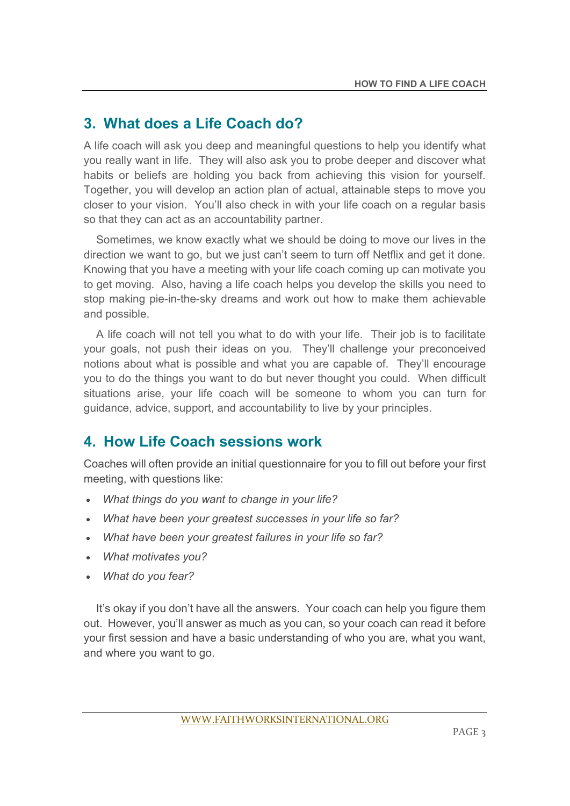# **3. What does a Life Coach do?**

A life coach will ask you deep and meaningful questions to help you identify what you really want in life. They will also ask you to probe deeper and discover what habits or beliefs are holding you back from achieving this vision for yourself. Together, you will develop an action plan of actual, attainable steps to move you closer to your vision. You'll also check in with your life coach on a regular basis so that they can act as an accountability partner.

 Sometimes, we know exactly what we should be doing to move our lives in the direction we want to go, but we just can't seem to turn off Netflix and get it done. Knowing that you have a meeting with your life coach coming up can motivate you to get moving. Also, having a life coach helps you develop the skills you need to stop making pie-in-the-sky dreams and work out how to make them achievable and possible.

 A life coach will not tell you what to do with your life. Their job is to facilitate your goals, not push their ideas on you. They'll challenge your preconceived notions about what is possible and what you are capable of. They'll encourage you to do the things you want to do but never thought you could. When difficult situations arise, your life coach will be someone to whom you can turn for guidance, advice, support, and accountability to live by your principles.

## **4. How Life Coach sessions work**

Coaches will often provide an initial questionnaire for you to fill out before your first meeting, with questions like:

- *What things do you want to change in your life?*
- *What have been your greatest successes in your life so far?*
- *What have been your greatest failures in your life so far?*
- *What motivates you?*
- *What do you fear?*

 It's okay if you don't have all the answers. Your coach can help you figure them out. However, you'll answer as much as you can, so your coach can read it before your first session and have a basic understanding of who you are, what you want, and where you want to go.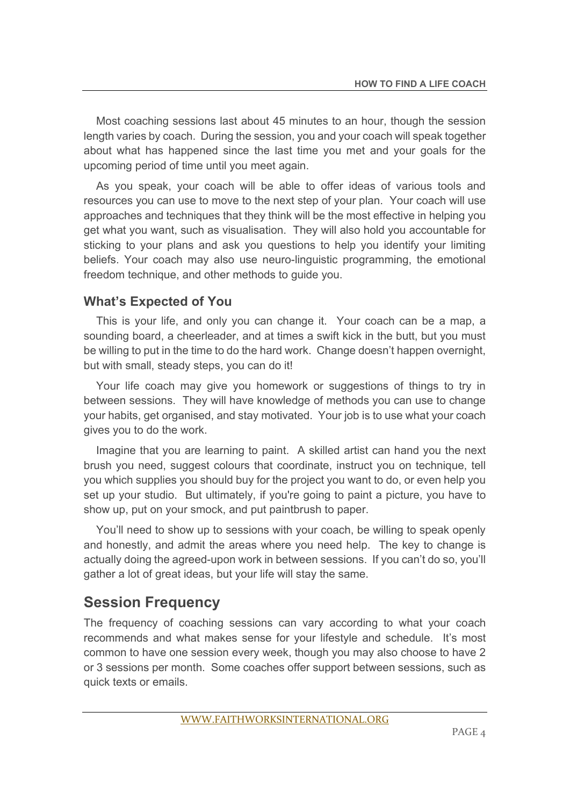Most coaching sessions last about 45 minutes to an hour, though the session length varies by coach. During the session, you and your coach will speak together about what has happened since the last time you met and your goals for the upcoming period of time until you meet again.

 As you speak, your coach will be able to offer ideas of various tools and resources you can use to move to the next step of your plan. Your coach will use approaches and techniques that they think will be the most effective in helping you get what you want, such as visualisation. They will also hold you accountable for sticking to your plans and ask you questions to help you identify your limiting beliefs. Your coach may also use neuro-linguistic programming, the emotional freedom technique, and other methods to guide you.

#### **What's Expected of You**

 This is your life, and only you can change it. Your coach can be a map, a sounding board, a cheerleader, and at times a swift kick in the butt, but you must be willing to put in the time to do the hard work. Change doesn't happen overnight, but with small, steady steps, you can do it!

 Your life coach may give you homework or suggestions of things to try in between sessions. They will have knowledge of methods you can use to change your habits, get organised, and stay motivated. Your job is to use what your coach gives you to do the work.

 Imagine that you are learning to paint. A skilled artist can hand you the next brush you need, suggest colours that coordinate, instruct you on technique, tell you which supplies you should buy for the project you want to do, or even help you set up your studio. But ultimately, if you're going to paint a picture, you have to show up, put on your smock, and put paintbrush to paper.

 You'll need to show up to sessions with your coach, be willing to speak openly and honestly, and admit the areas where you need help. The key to change is actually doing the agreed-upon work in between sessions. If you can't do so, you'll gather a lot of great ideas, but your life will stay the same.

## **Session Frequency**

The frequency of coaching sessions can vary according to what your coach recommends and what makes sense for your lifestyle and schedule. It's most common to have one session every week, though you may also choose to have 2 or 3 sessions per month. Some coaches offer support between sessions, such as quick texts or emails.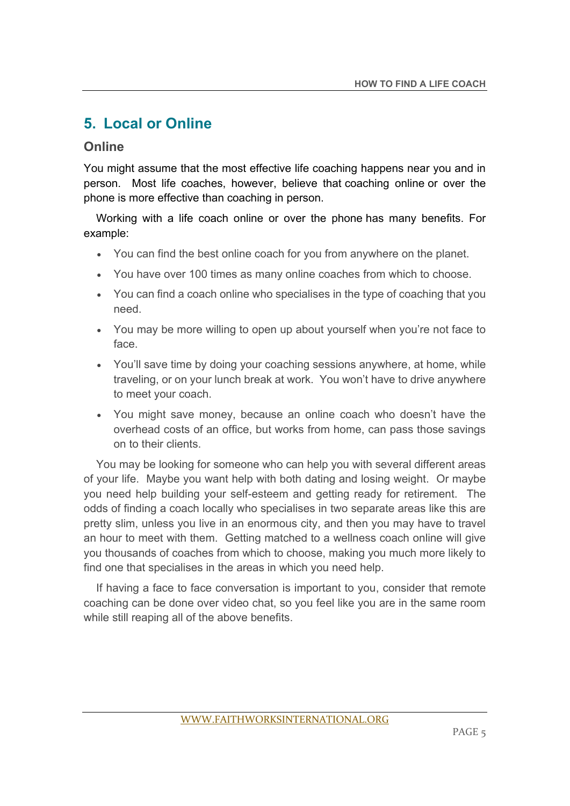## **5. Local or Online**

#### **Online**

You might assume that the most effective life coaching happens near you and in person. Most life coaches, however, believe that coaching online or over the phone is more effective than coaching in person.

 Working with a life coach online or over the phone has many benefits. For example:

- You can find the best online coach for you from anywhere on the planet.
- You have over 100 times as many online coaches from which to choose.
- You can find a coach online who specialises in the type of coaching that you need.
- You may be more willing to open up about yourself when you're not face to face.
- You'll save time by doing your coaching sessions anywhere, at home, while traveling, or on your lunch break at work. You won't have to drive anywhere to meet your coach.
- You might save money, because an online coach who doesn't have the overhead costs of an office, but works from home, can pass those savings on to their clients.

 You may be looking for someone who can help you with several different areas of your life. Maybe you want help with both dating and losing weight. Or maybe you need help building your self-esteem and getting ready for retirement. The odds of finding a coach locally who specialises in two separate areas like this are pretty slim, unless you live in an enormous city, and then you may have to travel an hour to meet with them. Getting matched to a wellness coach online will give you thousands of coaches from which to choose, making you much more likely to find one that specialises in the areas in which you need help.

 If having a face to face conversation is important to you, consider that remote coaching can be done over video chat, so you feel like you are in the same room while still reaping all of the above benefits.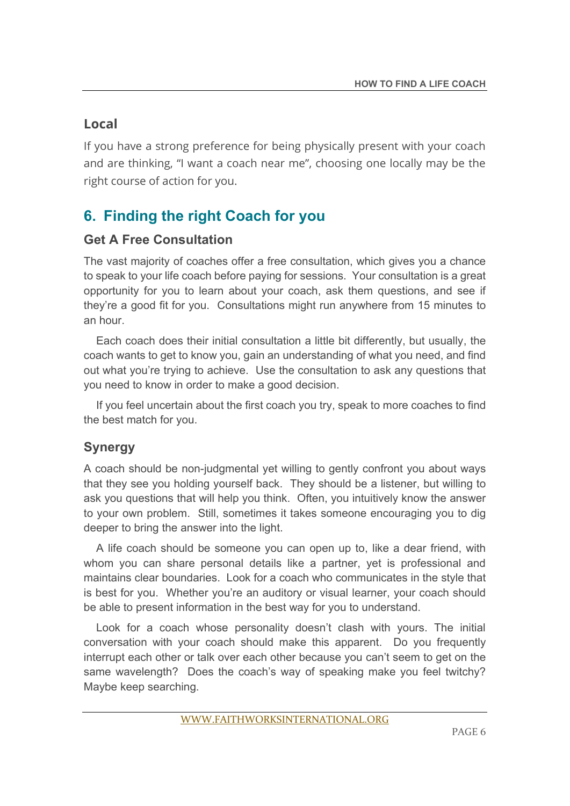## **Local**

If you have a strong preference for being physically present with your coach and are thinking, "I want a coach near me", choosing one locally may be the right course of action for you.

# **6. Finding the right Coach for you**

### **Get A Free Consultation**

The vast majority of coaches offer a free consultation, which gives you a chance to speak to your life coach before paying for sessions. Your consultation is a great opportunity for you to learn about your coach, ask them questions, and see if they're a good fit for you. Consultations might run anywhere from 15 minutes to an hour.

 Each coach does their initial consultation a little bit differently, but usually, the coach wants to get to know you, gain an understanding of what you need, and find out what you're trying to achieve. Use the consultation to ask any questions that you need to know in order to make a good decision.

 If you feel uncertain about the first coach you try, speak to more coaches to find the best match for you.

## **Synergy**

A coach should be non-judgmental yet willing to gently confront you about ways that they see you holding yourself back. They should be a listener, but willing to ask you questions that will help you think. Often, you intuitively know the answer to your own problem. Still, sometimes it takes someone encouraging you to dig deeper to bring the answer into the light.

 A life coach should be someone you can open up to, like a dear friend, with whom you can share personal details like a partner, yet is professional and maintains clear boundaries. Look for a coach who communicates in the style that is best for you. Whether you're an auditory or visual learner, your coach should be able to present information in the best way for you to understand.

 Look for a coach whose personality doesn't clash with yours. The initial conversation with your coach should make this apparent. Do you frequently interrupt each other or talk over each other because you can't seem to get on the same wavelength? Does the coach's way of speaking make you feel twitchy? Maybe keep searching.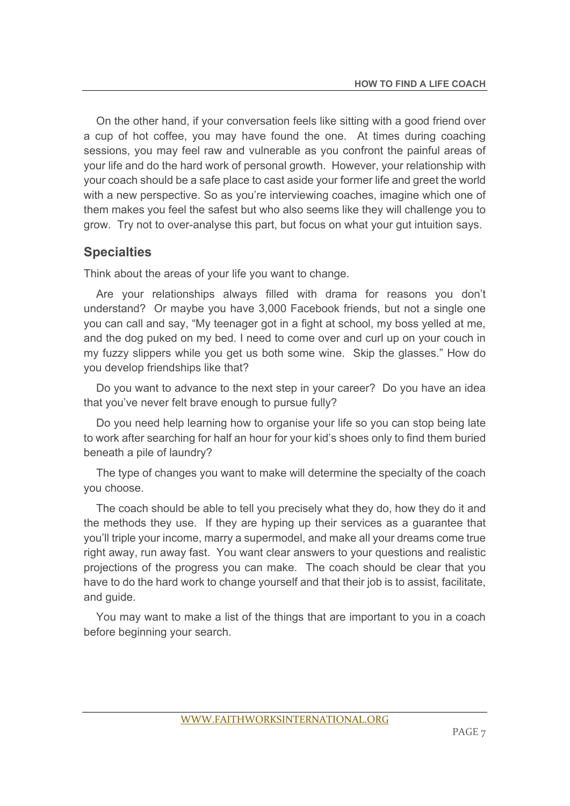On the other hand, if your conversation feels like sitting with a good friend over a cup of hot coffee, you may have found the one. At times during coaching sessions, you may feel raw and vulnerable as you confront the painful areas of your life and do the hard work of personal growth. However, your relationship with your coach should be a safe place to cast aside your former life and greet the world with a new perspective. So as you're interviewing coaches, imagine which one of them makes you feel the safest but who also seems like they will challenge you to grow. Try not to over-analyse this part, but focus on what your gut intuition says.

#### **Specialties**

Think about the areas of your life you want to change.

 Are your relationships always filled with drama for reasons you don't understand? Or maybe you have 3,000 Facebook friends, but not a single one you can call and say, "My teenager got in a fight at school, my boss yelled at me, and the dog puked on my bed. I need to come over and curl up on your couch in my fuzzy slippers while you get us both some wine. Skip the glasses." How do you develop friendships like that?

 Do you want to advance to the next step in your career? Do you have an idea that you've never felt brave enough to pursue fully?

 Do you need help learning how to organise your life so you can stop being late to work after searching for half an hour for your kid's shoes only to find them buried beneath a pile of laundry?

 The type of changes you want to make will determine the specialty of the coach you choose.

 The coach should be able to tell you precisely what they do, how they do it and the methods they use. If they are hyping up their services as a guarantee that you'll triple your income, marry a supermodel, and make all your dreams come true right away, run away fast. You want clear answers to your questions and realistic projections of the progress you can make. The coach should be clear that you have to do the hard work to change yourself and that their job is to assist, facilitate, and guide.

 You may want to make a list of the things that are important to you in a coach before beginning your search.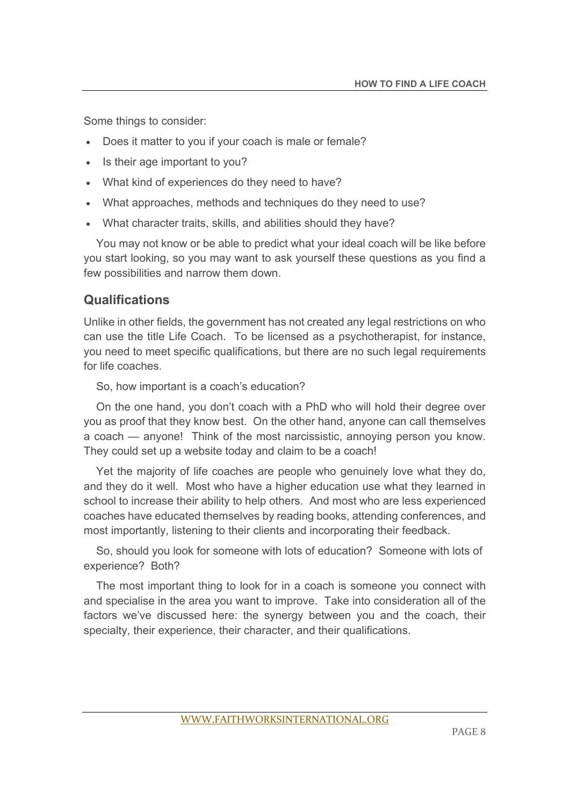Some things to consider:

- Does it matter to you if your coach is male or female?
- Is their age important to you?
- What kind of experiences do they need to have?
- What approaches, methods and techniques do they need to use?
- What character traits, skills, and abilities should they have?

 You may not know or be able to predict what your ideal coach will be like before you start looking, so you may want to ask yourself these questions as you find a few possibilities and narrow them down.

### **Qualifications**

Unlike in other fields, the government has not created any legal restrictions on who can use the title Life Coach. To be licensed as a psychotherapist, for instance, you need to meet specific qualifications, but there are no such legal requirements for life coaches.

So, how important is a coach's education?

 On the one hand, you don't coach with a PhD who will hold their degree over you as proof that they know best. On the other hand, anyone can call themselves a coach — anyone! Think of the most narcissistic, annoying person you know. They could set up a website today and claim to be a coach!

 Yet the majority of life coaches are people who genuinely love what they do, and they do it well. Most who have a higher education use what they learned in school to increase their ability to help others. And most who are less experienced coaches have educated themselves by reading books, attending conferences, and most importantly, listening to their clients and incorporating their feedback.

 So, should you look for someone with lots of education? Someone with lots of experience? Both?

 The most important thing to look for in a coach is someone you connect with and specialise in the area you want to improve. Take into consideration all of the factors we've discussed here: the synergy between you and the coach, their specialty, their experience, their character, and their qualifications.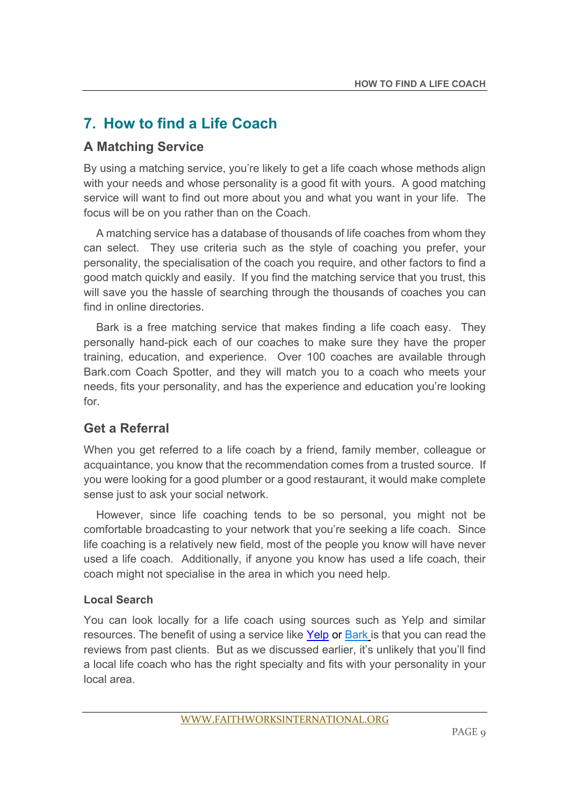# **7. How to find a Life Coach**

### **A Matching Service**

By using a matching service, you're likely to get a life coach whose methods align with your needs and whose personality is a good fit with yours. A good matching service will want to find out more about you and what you want in your life. The focus will be on you rather than on the Coach.

 A matching service has a database of thousands of life coaches from whom they can select. They use criteria such as the style of coaching you prefer, your personality, the specialisation of the coach you require, and other factors to find a good match quickly and easily. If you find the matching service that you trust, this will save you the hassle of searching through the thousands of coaches you can find in online directories.

 Bark is a free matching service that makes finding a life coach easy. They personally hand-pick each of our coaches to make sure they have the proper training, education, and experience. Over 100 coaches are available through Bark.com Coach Spotter, and they will match you to a coach who meets your needs, fits your personality, and has the experience and education you're looking for.

## **Get a Referral**

When you get referred to a life coach by a friend, family member, colleague or acquaintance, you know that the recommendation comes from a trusted source. If you were looking for a good plumber or a good restaurant, it would make complete sense just to ask your social network.

 However, since life coaching tends to be so personal, you might not be comfortable broadcasting to your network that you're seeking a life coach. Since life coaching is a relatively new field, most of the people you know will have never used a life coach. Additionally, if anyone you know has used a life coach, their coach might not specialise in the area in which you need help.

#### **Local Search**

You can look locally for a life coach using sources such as Yelp and similar resources. The benefit of using a service like Yelp or Bark is that you can read the reviews from past clients. But as we discussed earlier, it's unlikely that you'll find a local life coach who has the right specialty and fits with your personality in your local area.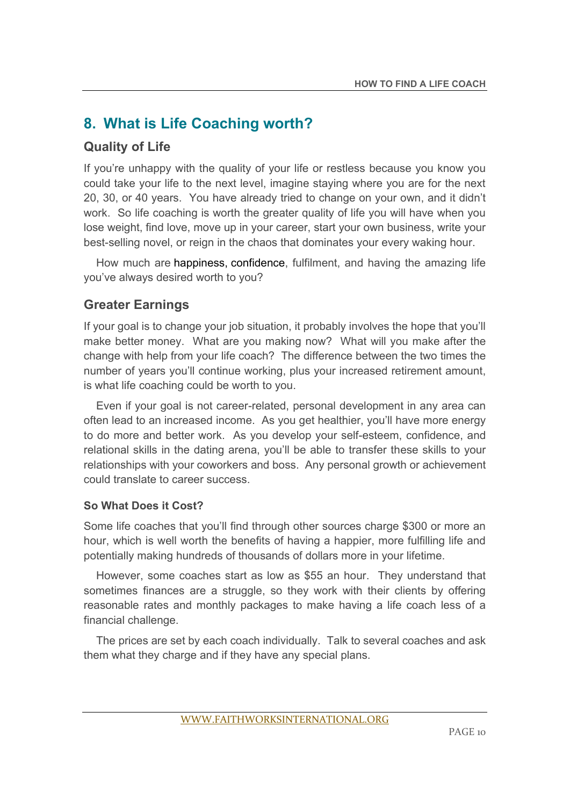# **8. What is Life Coaching worth?**

#### **Quality of Life**

If you're unhappy with the quality of your life or restless because you know you could take your life to the next level, imagine staying where you are for the next 20, 30, or 40 years. You have already tried to change on your own, and it didn't work. So life coaching is worth the greater quality of life you will have when you lose weight, find love, move up in your career, start your own business, write your best-selling novel, or reign in the chaos that dominates your every waking hour.

 How much are happiness, confidence, fulfilment, and having the amazing life you've always desired worth to you?

#### **Greater Earnings**

If your goal is to change your job situation, it probably involves the hope that you'll make better money. What are you making now? What will you make after the change with help from your life coach? The difference between the two times the number of years you'll continue working, plus your increased retirement amount, is what life coaching could be worth to you.

 Even if your goal is not career-related, personal development in any area can often lead to an increased income. As you get healthier, you'll have more energy to do more and better work. As you develop your self-esteem, confidence, and relational skills in the dating arena, you'll be able to transfer these skills to your relationships with your coworkers and boss. Any personal growth or achievement could translate to career success.

#### **So What Does it Cost?**

Some life coaches that you'll find through other sources charge \$300 or more an hour, which is well worth the benefits of having a happier, more fulfilling life and potentially making hundreds of thousands of dollars more in your lifetime.

 However, some coaches start as low as \$55 an hour. They understand that sometimes finances are a struggle, so they work with their clients by offering reasonable rates and monthly packages to make having a life coach less of a financial challenge.

 The prices are set by each coach individually. Talk to several coaches and ask them what they charge and if they have any special plans.